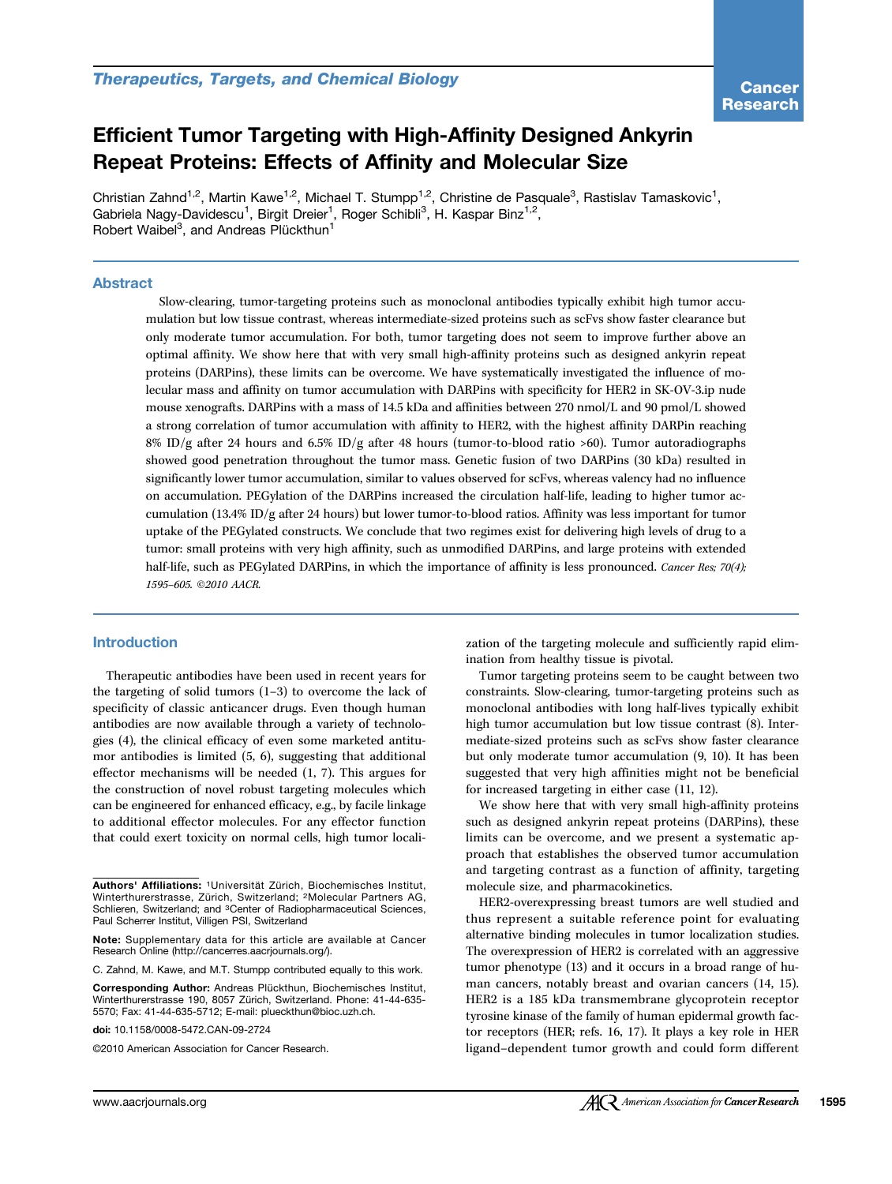# Efficient Tumor Targeting with High-Affinity Designed Ankyrin Repeat Proteins: Effects of Affinity and Molecular Size

Christian Zahnd<sup>1,2</sup>, Martin Kawe<sup>1,2</sup>, Michael T. Stumpp<sup>1,2</sup>, Christine de Pasquale<sup>3</sup>, Rastislav Tamaskovic<sup>1</sup>, Gabriela Nagy-Davidescu<sup>1</sup>, Birgit Dreier<sup>1</sup>, Roger Schibli<sup>3</sup>, H. Kaspar Binz<sup>1,2</sup>, Robert Waibel<sup>3</sup>, and Andreas Plückthun<sup>1</sup>

## Abstract

Slow-clearing, tumor-targeting proteins such as monoclonal antibodies typically exhibit high tumor accumulation but low tissue contrast, whereas intermediate-sized proteins such as scFvs show faster clearance but only moderate tumor accumulation. For both, tumor targeting does not seem to improve further above an optimal affinity. We show here that with very small high-affinity proteins such as designed ankyrin repeat proteins (DARPins), these limits can be overcome. We have systematically investigated the influence of molecular mass and affinity on tumor accumulation with DARPins with specificity for HER2 in SK-OV-3.ip nude mouse xenografts. DARPins with a mass of 14.5 kDa and affinities between 270 nmol/L and 90 pmol/L showed a strong correlation of tumor accumulation with affinity to HER2, with the highest affinity DARPin reaching 8% ID/g after 24 hours and 6.5% ID/g after 48 hours (tumor-to-blood ratio >60). Tumor autoradiographs showed good penetration throughout the tumor mass. Genetic fusion of two DARPins (30 kDa) resulted in significantly lower tumor accumulation, similar to values observed for scFvs, whereas valency had no influence on accumulation. PEGylation of the DARPins increased the circulation half-life, leading to higher tumor accumulation (13.4% ID/g after 24 hours) but lower tumor-to-blood ratios. Affinity was less important for tumor uptake of the PEGylated constructs. We conclude that two regimes exist for delivering high levels of drug to a tumor: small proteins with very high affinity, such as unmodified DARPins, and large proteins with extended half-life, such as PEGylated DARPins, in which the importance of affinity is less pronounced. Cancer Res; 70(4); 1595–605. ©2010 AACR.

## Introduction

Therapeutic antibodies have been used in recent years for the targeting of solid tumors (1–3) to overcome the lack of specificity of classic anticancer drugs. Even though human antibodies are now available through a variety of technologies (4), the clinical efficacy of even some marketed antitumor antibodies is limited (5, 6), suggesting that additional effector mechanisms will be needed (1, 7). This argues for the construction of novel robust targeting molecules which can be engineered for enhanced efficacy, e.g., by facile linkage to additional effector molecules. For any effector function that could exert toxicity on normal cells, high tumor localization of the targeting molecule and sufficiently rapid elimination from healthy tissue is pivotal.

Tumor targeting proteins seem to be caught between two constraints. Slow-clearing, tumor-targeting proteins such as monoclonal antibodies with long half-lives typically exhibit high tumor accumulation but low tissue contrast (8). Intermediate-sized proteins such as scFvs show faster clearance but only moderate tumor accumulation (9, 10). It has been suggested that very high affinities might not be beneficial for increased targeting in either case (11, 12).

We show here that with very small high-affinity proteins such as designed ankyrin repeat proteins (DARPins), these limits can be overcome, and we present a systematic approach that establishes the observed tumor accumulation and targeting contrast as a function of affinity, targeting molecule size, and pharmacokinetics.

HER2-overexpressing breast tumors are well studied and thus represent a suitable reference point for evaluating alternative binding molecules in tumor localization studies. The overexpression of HER2 is correlated with an aggressive tumor phenotype (13) and it occurs in a broad range of human cancers, notably breast and ovarian cancers (14, 15). HER2 is a 185 kDa transmembrane glycoprotein receptor tyrosine kinase of the family of human epidermal growth factor receptors (HER; refs. 16, 17). It plays a key role in HER ligand–dependent tumor growth and could form different

Authors' Affiliations: 1Universität Zürich, Biochemisches Institut, Winterthurerstrasse, Zürich, Switzerland; 2Molecular Partners AG, Schlieren, Switzerland; and 3Center of Radiopharmaceutical Sciences, Paul Scherrer Institut, Villigen PSI, Switzerland

Note: Supplementary data for this article are available at Cancer Research Online (http://cancerres.aacrjournals.org/).

C. Zahnd, M. Kawe, and M.T. Stumpp contributed equally to this work.

Corresponding Author: Andreas Plückthun, Biochemisches Institut, Winterthurerstrasse 190, 8057 Zürich, Switzerland. Phone: 41-44-635- 5570; Fax: 41-44-635-5712; E-mail: plueckthun@bioc.uzh.ch.

doi: 10.1158/0008-5472.CAN-09-2724

<sup>©2010</sup> American Association for Cancer Research.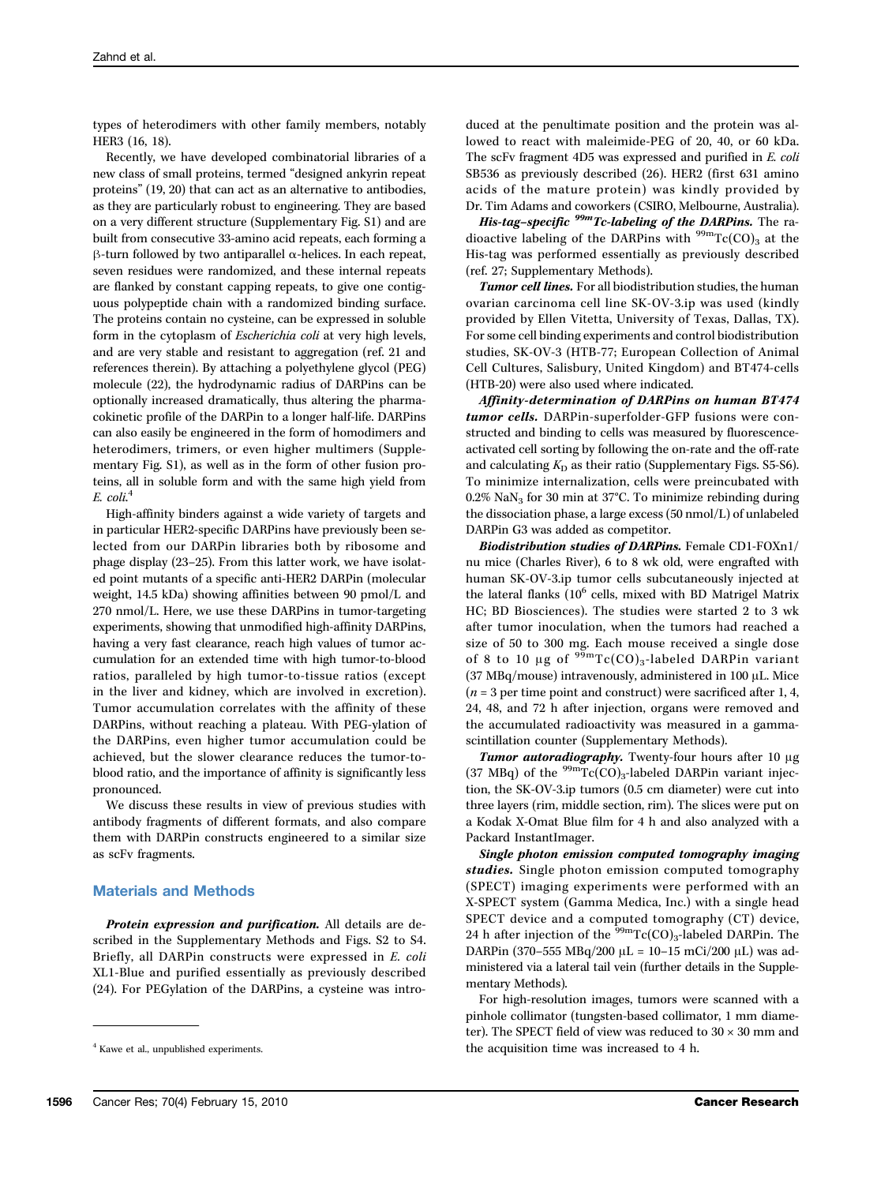types of heterodimers with other family members, notably HER3 (16, 18).

Recently, we have developed combinatorial libraries of a new class of small proteins, termed "designed ankyrin repeat proteins" (19, 20) that can act as an alternative to antibodies, as they are particularly robust to engineering. They are based on a very different structure (Supplementary Fig. S1) and are built from consecutive 33-amino acid repeats, each forming a β-turn followed by two antiparallel α-helices. In each repeat, seven residues were randomized, and these internal repeats are flanked by constant capping repeats, to give one contiguous polypeptide chain with a randomized binding surface. The proteins contain no cysteine, can be expressed in soluble form in the cytoplasm of Escherichia coli at very high levels, and are very stable and resistant to aggregation (ref. 21 and references therein). By attaching a polyethylene glycol (PEG) molecule (22), the hydrodynamic radius of DARPins can be optionally increased dramatically, thus altering the pharmacokinetic profile of the DARPin to a longer half-life. DARPins can also easily be engineered in the form of homodimers and heterodimers, trimers, or even higher multimers (Supplementary Fig. S1), as well as in the form of other fusion proteins, all in soluble form and with the same high yield from E. coli. 4

High-affinity binders against a wide variety of targets and in particular HER2-specific DARPins have previously been selected from our DARPin libraries both by ribosome and phage display (23–25). From this latter work, we have isolated point mutants of a specific anti-HER2 DARPin (molecular weight, 14.5 kDa) showing affinities between 90 pmol/L and 270 nmol/L. Here, we use these DARPins in tumor-targeting experiments, showing that unmodified high-affinity DARPins, having a very fast clearance, reach high values of tumor accumulation for an extended time with high tumor-to-blood ratios, paralleled by high tumor-to-tissue ratios (except in the liver and kidney, which are involved in excretion). Tumor accumulation correlates with the affinity of these DARPins, without reaching a plateau. With PEG-ylation of the DARPins, even higher tumor accumulation could be achieved, but the slower clearance reduces the tumor-toblood ratio, and the importance of affinity is significantly less pronounced.

We discuss these results in view of previous studies with antibody fragments of different formats, and also compare them with DARPin constructs engineered to a similar size as scFv fragments.

## Materials and Methods

Protein expression and purification. All details are described in the Supplementary Methods and Figs. S2 to S4. Briefly, all DARPin constructs were expressed in E. coli XL1-Blue and purified essentially as previously described (24). For PEGylation of the DARPins, a cysteine was intro-

duced at the penultimate position and the protein was allowed to react with maleimide-PEG of 20, 40, or 60 kDa. The scFv fragment 4D5 was expressed and purified in E. coli SB536 as previously described (26). HER2 (first 631 amino acids of the mature protein) was kindly provided by Dr. Tim Adams and coworkers (CSIRO, Melbourne, Australia).

His-tag-specific <sup>99m</sup>Tc-labeling of the DARPins. The radioactive labeling of the DARPins with  $\rm{^{99m}Tc(CO)_3}$  at the His-tag was performed essentially as previously described (ref. 27; Supplementary Methods).

Tumor cell lines. For all biodistribution studies, the human ovarian carcinoma cell line SK-OV-3.ip was used (kindly provided by Ellen Vitetta, University of Texas, Dallas, TX). For some cell binding experiments and control biodistribution studies, SK-OV-3 (HTB-77; European Collection of Animal Cell Cultures, Salisbury, United Kingdom) and BT474-cells (HTB-20) were also used where indicated.

Affinity-determination of DARPins on human BT474 tumor cells. DARPin-superfolder-GFP fusions were constructed and binding to cells was measured by fluorescenceactivated cell sorting by following the on-rate and the off-rate and calculating  $K_D$  as their ratio (Supplementary Figs. S5-S6). To minimize internalization, cells were preincubated with  $0.2\%$  NaN<sub>3</sub> for 30 min at 37°C. To minimize rebinding during the dissociation phase, a large excess (50 nmol/L) of unlabeled DARPin G3 was added as competitor.

Biodistribution studies of DARPins. Female CD1-FOXn1/ nu mice (Charles River), 6 to 8 wk old, were engrafted with human SK-OV-3.ip tumor cells subcutaneously injected at the lateral flanks  $(10^6 \text{ cells}, \text{mixed with BD Matrigel Matrix})$ HC; BD Biosciences). The studies were started 2 to 3 wk after tumor inoculation, when the tumors had reached a size of 50 to 300 mg. Each mouse received a single dose of 8 to 10 µg of  $99mTc(CO)$ <sub>3</sub>-labeled DARPin variant (37 MBq/mouse) intravenously, administered in 100 μL. Mice  $(n = 3$  per time point and construct) were sacrificed after 1, 4, 24, 48, and 72 h after injection, organs were removed and the accumulated radioactivity was measured in a gammascintillation counter (Supplementary Methods).

Tumor autoradiography. Twenty-four hours after 10 μg (37 MBq) of the  $^{99m}Tc(CO)_{3}$ -labeled DARPin variant injection, the SK-OV-3.ip tumors (0.5 cm diameter) were cut into three layers (rim, middle section, rim). The slices were put on a Kodak X-Omat Blue film for 4 h and also analyzed with a Packard InstantImager.

Single photon emission computed tomography imaging studies. Single photon emission computed tomography (SPECT) imaging experiments were performed with an X-SPECT system (Gamma Medica, Inc.) with a single head SPECT device and a computed tomography (CT) device, 24 h after injection of the  $99mTc(CO)<sub>3</sub>$ -labeled DARPin. The DARPin (370–555 MBq/200 μL = 10–15 mCi/200 μL) was administered via a lateral tail vein (further details in the Supplementary Methods).

For high-resolution images, tumors were scanned with a pinhole collimator (tungsten-based collimator, 1 mm diameter). The SPECT field of view was reduced to  $30 \times 30$  mm and <sup>4</sup> Kawe et al., unpublished experiments. The acquisition time was increased to 4 h.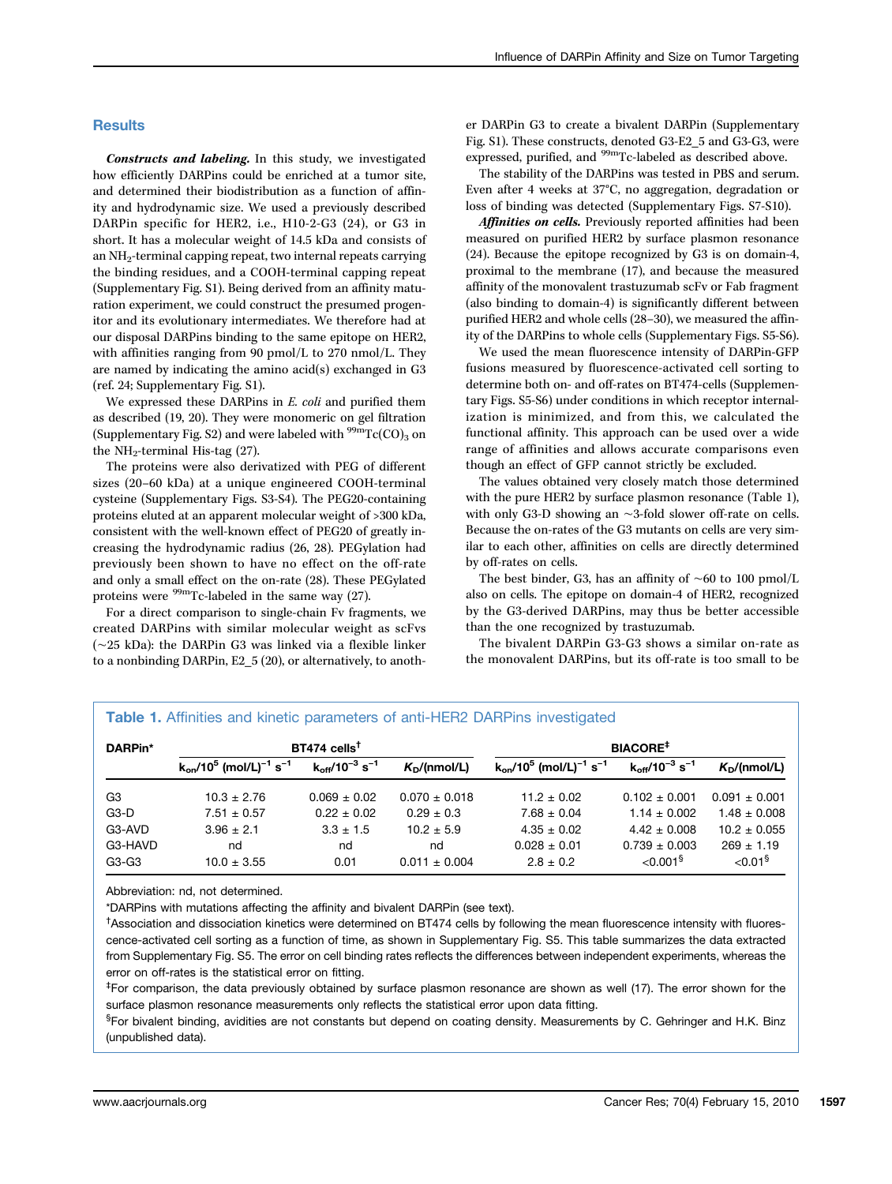## **Results**

Constructs and labeling. In this study, we investigated how efficiently DARPins could be enriched at a tumor site, and determined their biodistribution as a function of affinity and hydrodynamic size. We used a previously described DARPin specific for HER2, i.e., H10-2-G3 (24), or G3 in short. It has a molecular weight of 14.5 kDa and consists of an NH2-terminal capping repeat, two internal repeats carrying the binding residues, and a COOH-terminal capping repeat (Supplementary Fig. S1). Being derived from an affinity maturation experiment, we could construct the presumed progenitor and its evolutionary intermediates. We therefore had at our disposal DARPins binding to the same epitope on HER2, with affinities ranging from 90 pmol/L to 270 nmol/L. They are named by indicating the amino acid(s) exchanged in G3 (ref. 24; Supplementary Fig. S1).

We expressed these DARPins in E. coli and purified them as described (19, 20). They were monomeric on gel filtration (Supplementary Fig. S2) and were labeled with  $\rm{^{99m}Tc(CO)_3}$  on the  $NH_2$ -terminal His-tag (27).

The proteins were also derivatized with PEG of different sizes (20–60 kDa) at a unique engineered COOH-terminal cysteine (Supplementary Figs. S3-S4). The PEG20-containing proteins eluted at an apparent molecular weight of >300 kDa, consistent with the well-known effect of PEG20 of greatly increasing the hydrodynamic radius (26, 28). PEGylation had previously been shown to have no effect on the off-rate and only a small effect on the on-rate (28). These PEGylated proteins were  $\frac{99m}{\text{Tc-labeled}}$  in the same way (27).

For a direct comparison to single-chain Fv fragments, we created DARPins with similar molecular weight as scFvs (∼25 kDa): the DARPin G3 was linked via a flexible linker to a nonbinding DARPin, E2\_5 (20), or alternatively, to anoth-

er DARPin G3 to create a bivalent DARPin (Supplementary Fig. S1). These constructs, denoted G3-E2\_5 and G3-G3, were expressed, purified, and <sup>99m</sup>Tc-labeled as described above.

The stability of the DARPins was tested in PBS and serum. Even after 4 weeks at 37°C, no aggregation, degradation or loss of binding was detected (Supplementary Figs. S7-S10).

Affinities on cells. Previously reported affinities had been measured on purified HER2 by surface plasmon resonance (24). Because the epitope recognized by G3 is on domain-4, proximal to the membrane (17), and because the measured affinity of the monovalent trastuzumab scFv or Fab fragment (also binding to domain-4) is significantly different between purified HER2 and whole cells (28–30), we measured the affinity of the DARPins to whole cells (Supplementary Figs. S5-S6).

We used the mean fluorescence intensity of DARPin-GFP fusions measured by fluorescence-activated cell sorting to determine both on- and off-rates on BT474-cells (Supplementary Figs. S5-S6) under conditions in which receptor internalization is minimized, and from this, we calculated the functional affinity. This approach can be used over a wide range of affinities and allows accurate comparisons even though an effect of GFP cannot strictly be excluded.

The values obtained very closely match those determined with the pure HER2 by surface plasmon resonance (Table 1), with only G3-D showing an ∼3-fold slower off-rate on cells. Because the on-rates of the G3 mutants on cells are very similar to each other, affinities on cells are directly determined by off-rates on cells.

The best binder, G3, has an affinity of ∼60 to 100 pmol/L also on cells. The epitope on domain-4 of HER2, recognized by the G3-derived DARPins, may thus be better accessible than the one recognized by trastuzumab.

The bivalent DARPin G3-G3 shows a similar on-rate as the monovalent DARPins, but its off-rate is too small to be

| DARPin*        |                                                     | $BT474$ cells <sup>t</sup> |                   | <b>BIACORE<sup>#</sup></b>                          |                                   |                       |  |  |
|----------------|-----------------------------------------------------|----------------------------|-------------------|-----------------------------------------------------|-----------------------------------|-----------------------|--|--|
|                | $k_{on}/10^5$ (mol/L) <sup>-1</sup> s <sup>-1</sup> | $k_{off}/10^{-3} s^{-1}$   | $K_{D}/$ (nmol/L) | $k_{on}/10^5$ (mol/L) <sup>-1</sup> s <sup>-1</sup> | $k_{off}/10^{-3}$ s <sup>-1</sup> | $K_{D}/(nmol/L)$      |  |  |
| G <sub>3</sub> | $10.3 \pm 2.76$                                     | $0.069 \pm 0.02$           | $0.070 \pm 0.018$ | $11.2 \pm 0.02$                                     | $0.102 \pm 0.001$                 | $0.091 \pm 0.001$     |  |  |
| $G3-D$         | $7.51 \pm 0.57$                                     | $0.22 \pm 0.02$            | $0.29 \pm 0.3$    | $7.68 \pm 0.04$                                     | $1.14 \pm 0.002$                  | $1.48 \pm 0.008$      |  |  |
| G3-AVD         | $3.96 \pm 2.1$                                      | $3.3 \pm 1.5$              | $10.2 \pm 5.9$    | $4.35 \pm 0.02$                                     | $4.42 \pm 0.008$                  | $10.2 \pm 0.055$      |  |  |
| G3-HAVD        | nd                                                  | nd                         | nd                | $0.028 \pm 0.01$                                    | $0.739 \pm 0.003$                 | $269 \pm 1.19$        |  |  |
| $G3-G3$        | $10.0 \pm 3.55$                                     | 0.01                       | $0.011 \pm 0.004$ | $2.8 \pm 0.2$                                       | ${<}0.001$ <sup>§</sup>           | $< 0.01$ <sup>§</sup> |  |  |

## Table 1. Affinities and kinetic parameters of anti-HER2 DARPins investigated

Abbreviation: nd, not determined.

\*DARPins with mutations affecting the affinity and bivalent DARPin (see text).

† Association and dissociation kinetics were determined on BT474 cells by following the mean fluorescence intensity with fluorescence-activated cell sorting as a function of time, as shown in Supplementary Fig. S5. This table summarizes the data extracted from Supplementary Fig. S5. The error on cell binding rates reflects the differences between independent experiments, whereas the error on off-rates is the statistical error on fitting.

‡ For comparison, the data previously obtained by surface plasmon resonance are shown as well (17). The error shown for the surface plasmon resonance measurements only reflects the statistical error upon data fitting.

§For bivalent binding, avidities are not constants but depend on coating density. Measurements by C. Gehringer and H.K. Binz (unpublished data).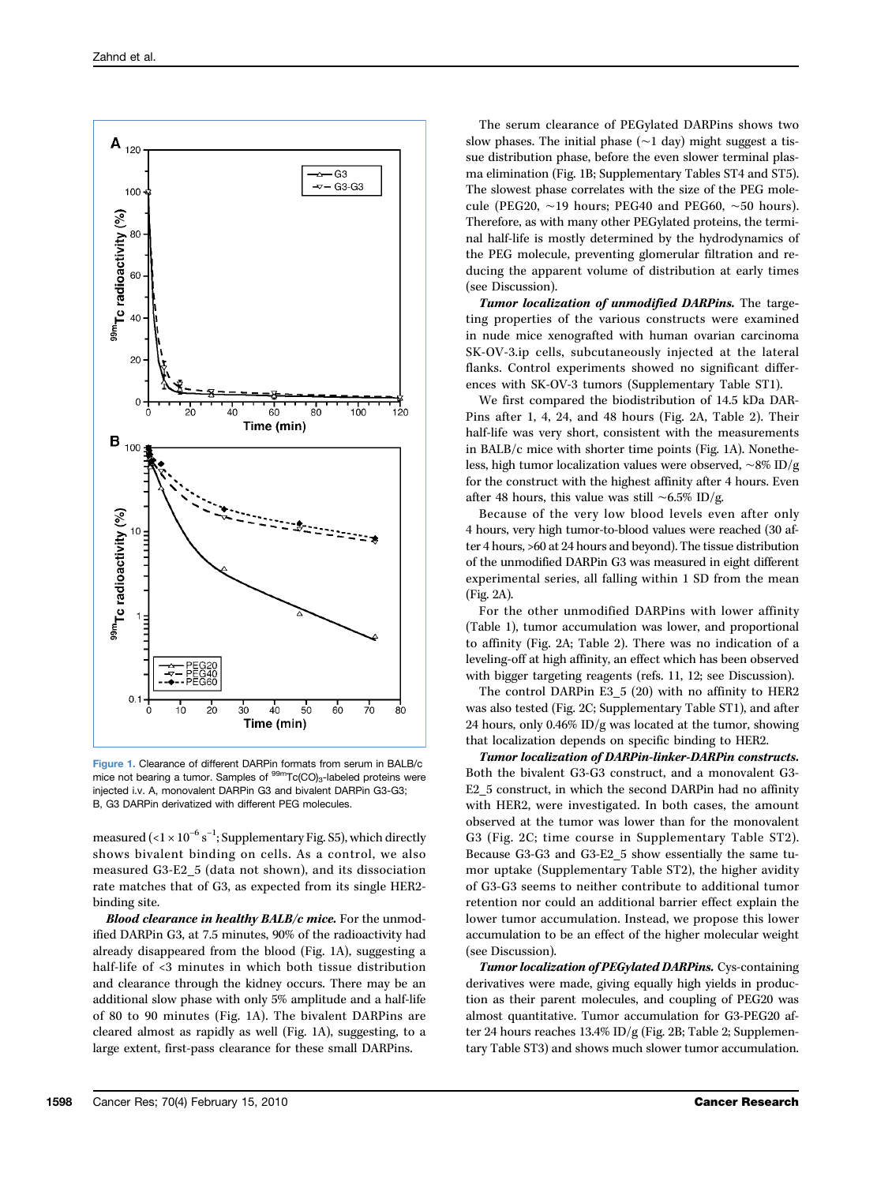

Figure 1. Clearance of different DARPin formats from serum in BALB/c mice not bearing a tumor. Samples of  $99mTc(CO)<sub>3</sub>$ -labeled proteins were injected i.v. A, monovalent DARPin G3 and bivalent DARPin G3-G3; B, G3 DARPin derivatized with different PEG molecules.

measured (< $1 \times 10^{-6} \text{ s}^{-1}$ ; Supplementary Fig. S5), which directly shows bivalent binding on cells. As a control, we also measured G3-E2\_5 (data not shown), and its dissociation rate matches that of G3, as expected from its single HER2 binding site.

Blood clearance in healthy BALB/c mice. For the unmodified DARPin G3, at 7.5 minutes, 90% of the radioactivity had already disappeared from the blood (Fig. 1A), suggesting a half-life of <3 minutes in which both tissue distribution and clearance through the kidney occurs. There may be an additional slow phase with only 5% amplitude and a half-life of 80 to 90 minutes (Fig. 1A). The bivalent DARPins are cleared almost as rapidly as well (Fig. 1A), suggesting, to a large extent, first-pass clearance for these small DARPins.

The serum clearance of PEGylated DARPins shows two slow phases. The initial phase (∼1 day) might suggest a tissue distribution phase, before the even slower terminal plasma elimination (Fig. 1B; Supplementary Tables ST4 and ST5). The slowest phase correlates with the size of the PEG molecule (PEG20, ∼19 hours; PEG40 and PEG60, ∼50 hours). Therefore, as with many other PEGylated proteins, the terminal half-life is mostly determined by the hydrodynamics of the PEG molecule, preventing glomerular filtration and reducing the apparent volume of distribution at early times (see Discussion).

Tumor localization of unmodified DARPins. The targeting properties of the various constructs were examined in nude mice xenografted with human ovarian carcinoma SK-OV-3.ip cells, subcutaneously injected at the lateral flanks. Control experiments showed no significant differences with SK-OV-3 tumors (Supplementary Table ST1).

We first compared the biodistribution of 14.5 kDa DAR-Pins after 1, 4, 24, and 48 hours (Fig. 2A, Table 2). Their half-life was very short, consistent with the measurements in BALB/c mice with shorter time points (Fig. 1A). Nonetheless, high tumor localization values were observed, ∼8% ID/g for the construct with the highest affinity after 4 hours. Even after 48 hours, this value was still ∼6.5% ID/g.

Because of the very low blood levels even after only 4 hours, very high tumor-to-blood values were reached (30 after 4 hours, >60 at 24 hours and beyond). The tissue distribution of the unmodified DARPin G3 was measured in eight different experimental series, all falling within 1 SD from the mean (Fig. 2A).

For the other unmodified DARPins with lower affinity (Table 1), tumor accumulation was lower, and proportional to affinity (Fig. 2A; Table 2). There was no indication of a leveling-off at high affinity, an effect which has been observed with bigger targeting reagents (refs. 11, 12; see Discussion).

The control DARPin E3\_5 (20) with no affinity to HER2 was also tested (Fig. 2C; Supplementary Table ST1), and after 24 hours, only 0.46% ID/g was located at the tumor, showing that localization depends on specific binding to HER2.

Tumor localization of DARPin-linker-DARPin constructs. Both the bivalent G3-G3 construct, and a monovalent G3- E2\_5 construct, in which the second DARPin had no affinity with HER2, were investigated. In both cases, the amount observed at the tumor was lower than for the monovalent G3 (Fig. 2C; time course in Supplementary Table ST2). Because G3-G3 and G3-E2\_5 show essentially the same tumor uptake (Supplementary Table ST2), the higher avidity of G3-G3 seems to neither contribute to additional tumor retention nor could an additional barrier effect explain the lower tumor accumulation. Instead, we propose this lower accumulation to be an effect of the higher molecular weight (see Discussion).

Tumor localization of PEGylated DARPins. Cys-containing derivatives were made, giving equally high yields in production as their parent molecules, and coupling of PEG20 was almost quantitative. Tumor accumulation for G3-PEG20 after 24 hours reaches 13.4% ID/g (Fig. 2B; Table 2; Supplementary Table ST3) and shows much slower tumor accumulation.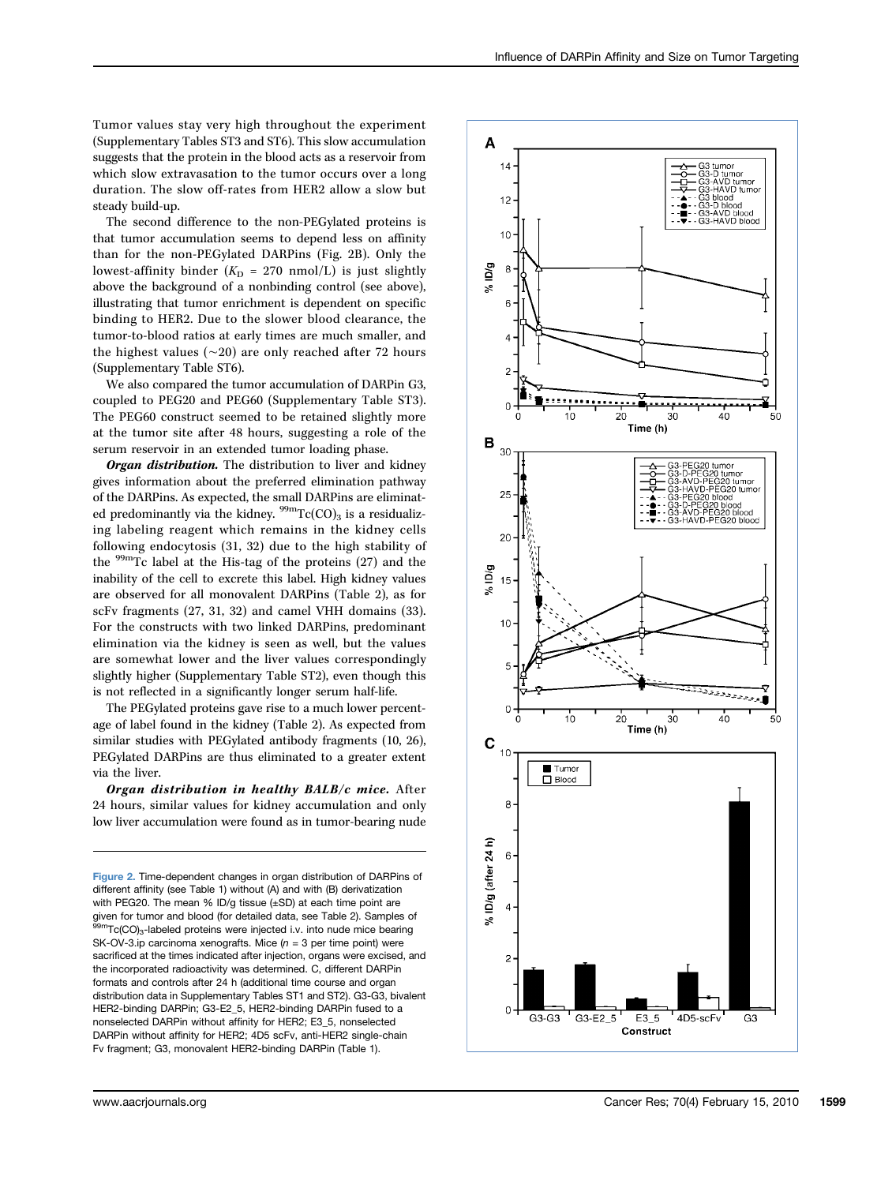Tumor values stay very high throughout the experiment (Supplementary Tables ST3 and ST6). This slow accumulation suggests that the protein in the blood acts as a reservoir from which slow extravasation to the tumor occurs over a long duration. The slow off-rates from HER2 allow a slow but steady build-up.

The second difference to the non-PEGylated proteins is that tumor accumulation seems to depend less on affinity than for the non-PEGylated DARPins (Fig. 2B). Only the lowest-affinity binder ( $K<sub>D</sub> = 270$  nmol/L) is just slightly above the background of a nonbinding control (see above), illustrating that tumor enrichment is dependent on specific binding to HER2. Due to the slower blood clearance, the tumor-to-blood ratios at early times are much smaller, and the highest values (∼20) are only reached after 72 hours (Supplementary Table ST6).

We also compared the tumor accumulation of DARPin G3, coupled to PEG20 and PEG60 (Supplementary Table ST3). The PEG60 construct seemed to be retained slightly more at the tumor site after 48 hours, suggesting a role of the serum reservoir in an extended tumor loading phase.

Organ distribution. The distribution to liver and kidney gives information about the preferred elimination pathway of the DARPins. As expected, the small DARPins are eliminated predominantly via the kidney.  $\frac{99m}{\text{TC(CO)}_3}$  is a residualizing labeling reagent which remains in the kidney cells following endocytosis (31, 32) due to the high stability of the 99mTc label at the His-tag of the proteins (27) and the inability of the cell to excrete this label. High kidney values are observed for all monovalent DARPins (Table 2), as for scFv fragments (27, 31, 32) and camel VHH domains (33). For the constructs with two linked DARPins, predominant elimination via the kidney is seen as well, but the values are somewhat lower and the liver values correspondingly slightly higher (Supplementary Table ST2), even though this is not reflected in a significantly longer serum half-life.

The PEGylated proteins gave rise to a much lower percentage of label found in the kidney (Table 2). As expected from similar studies with PEGylated antibody fragments (10, 26), PEGylated DARPins are thus eliminated to a greater extent via the liver.

Organ distribution in healthy BALB/c mice. After 24 hours, similar values for kidney accumulation and only low liver accumulation were found as in tumor-bearing nude

Figure 2. Time-dependent changes in organ distribution of DARPins of different affinity (see Table 1) without (A) and with (B) derivatization with PEG20. The mean % ID/g tissue (±SD) at each time point are given for tumor and blood (for detailed data, see Table 2). Samples of<br><sup>99m</sup>Tc(CO)<sub>3</sub>-labeled proteins were injected i.v. into nude mice bearing SK-OV-3.ip carcinoma xenografts. Mice  $(n = 3$  per time point) were sacrificed at the times indicated after injection, organs were excised, and the incorporated radioactivity was determined. C, different DARPin formats and controls after 24 h (additional time course and organ distribution data in Supplementary Tables ST1 and ST2). G3-G3, bivalent HER2-binding DARPin; G3-E2\_5, HER2-binding DARPin fused to a nonselected DARPin without affinity for HER2; E3\_5, nonselected DARPin without affinity for HER2; 4D5 scFv, anti-HER2 single-chain Fv fragment; G3, monovalent HER2-binding DARPin (Table 1).

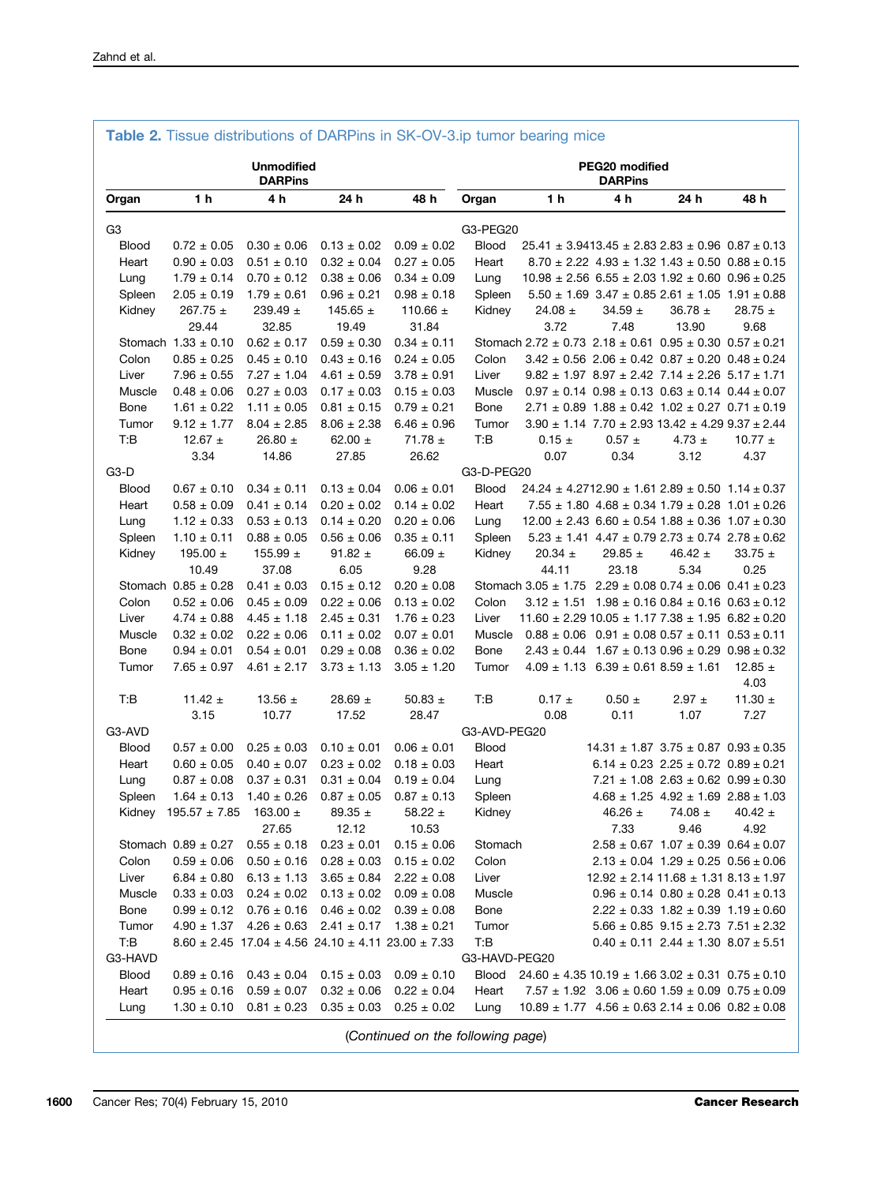|                | <b>Unmodified</b><br><b>DARPins</b>             |                                 |                                                                    | PEG20 modified<br><b>DARPins</b> |               |                                                                         |                                                 |                                                                  |             |
|----------------|-------------------------------------------------|---------------------------------|--------------------------------------------------------------------|----------------------------------|---------------|-------------------------------------------------------------------------|-------------------------------------------------|------------------------------------------------------------------|-------------|
| Organ          | 1 h                                             | 4 h                             | 24 h                                                               | 48 h                             | Organ         | 1 h                                                                     | 4 h                                             | 24 h                                                             | 48 h        |
| G <sub>3</sub> |                                                 |                                 |                                                                    |                                  | G3-PEG20      |                                                                         |                                                 |                                                                  |             |
| <b>Blood</b>   | $0.72 \pm 0.05$                                 | $0.30 \pm 0.06$                 | $0.13 \pm 0.02$                                                    | $0.09 \pm 0.02$                  | Blood         | $25.41 \pm 3.9413.45 \pm 2.832.83 \pm 0.960.87 \pm 0.13$                |                                                 |                                                                  |             |
| Heart          | $0.90 \pm 0.03$                                 | $0.51 \pm 0.10$                 | $0.32 \pm 0.04$                                                    | $0.27 \pm 0.05$                  | Heart         |                                                                         |                                                 | $8.70 \pm 2.22$ $4.93 \pm 1.32$ $1.43 \pm 0.50$ $0.88 \pm 0.15$  |             |
| Lung           | $1.79 \pm 0.14$                                 | $0.70 \pm 0.12$                 | $0.38 \pm 0.06$                                                    | $0.34 \pm 0.09$                  | Lung          | $10.98 \pm 2.56$ 6.55 $\pm$ 2.03 1.92 $\pm$ 0.60 0.96 $\pm$ 0.25        |                                                 |                                                                  |             |
| Spleen         | $2.05 \pm 0.19$                                 | $1.79 \pm 0.61$                 | $0.96 \pm 0.21$                                                    | $0.98 \pm 0.18$                  | Spleen        |                                                                         |                                                 | $5.50 \pm 1.69$ 3.47 $\pm$ 0.85 2.61 $\pm$ 1.05 1.91 $\pm$ 0.88  |             |
| Kidney         | $267.75 \pm$                                    | 239.49 $\pm$                    | 145.65 $\pm$                                                       | 110.66 $\pm$                     | Kidney        | 24.08 $\pm$                                                             | 34.59 $\pm$                                     | 36.78 $\pm$                                                      | 28.75 $\pm$ |
|                | 29.44                                           | 32.85                           | 19.49                                                              | 31.84                            |               | 3.72                                                                    | 7.48                                            | 13.90                                                            | 9.68        |
|                | Stomach $1.33 \pm 0.10$                         | $0.62 \pm 0.17$                 | $0.59 \pm 0.30$                                                    | $0.34 \pm 0.11$                  |               | Stomach $2.72 \pm 0.73$ $2.18 \pm 0.61$ $0.95 \pm 0.30$ $0.57 \pm 0.21$ |                                                 |                                                                  |             |
| Colon          | $0.85 \pm 0.25$                                 | $0.45 \pm 0.10$                 | $0.43 \pm 0.16$                                                    | $0.24 \pm 0.05$                  | Colon         |                                                                         |                                                 | $3.42 \pm 0.56$ 2.06 $\pm$ 0.42 0.87 $\pm$ 0.20 0.48 $\pm$ 0.24  |             |
| Liver          | $7.96 \pm 0.55$                                 | $7.27 \pm 1.04$                 | $4.61 \pm 0.59$                                                    | $3.78 \pm 0.91$                  | Liver         |                                                                         |                                                 | $9.82 \pm 1.97$ $8.97 \pm 2.42$ $7.14 \pm 2.26$ $5.17 \pm 1.71$  |             |
| Muscle         | $0.48 \pm 0.06$                                 | $0.27 \pm 0.03$                 | $0.17 \pm 0.03$                                                    | $0.15 \pm 0.03$                  | Muscle        |                                                                         |                                                 | $0.97 \pm 0.14$ $0.98 \pm 0.13$ $0.63 \pm 0.14$ $0.44 \pm 0.07$  |             |
| Bone           | $1.61 \pm 0.22$                                 | $1.11 \pm 0.05$                 | $0.81 \pm 0.15$                                                    | $0.79 \pm 0.21$                  | Bone          |                                                                         |                                                 | $2.71 \pm 0.89$ 1.88 $\pm$ 0.42 1.02 $\pm$ 0.27 0.71 $\pm$ 0.19  |             |
| Tumor          | $9.12 \pm 1.77$                                 | $8.04 \pm 2.85$                 | $8.06 \pm 2.38$                                                    | $6.46 \pm 0.96$                  | Tumor         |                                                                         |                                                 | $3.90 \pm 1.14$ 7.70 $\pm$ 2.93 13.42 $\pm$ 4.29 9.37 $\pm$ 2.44 |             |
| T:B            | 12.67 $\pm$                                     | 26.80 $\pm$                     | 62.00 $\pm$                                                        | 71.78 $\pm$                      | T:B           | $0.15 \pm$                                                              | $0.57 \pm$                                      | 4.73 $\pm$                                                       | 10.77 $\pm$ |
|                | 3.34                                            | 14.86                           | 27.85                                                              | 26.62                            |               | 0.07                                                                    | 0.34                                            | 3.12                                                             | 4.37        |
| $G3-D$         |                                                 |                                 |                                                                    |                                  | G3-D-PEG20    |                                                                         |                                                 |                                                                  |             |
| <b>Blood</b>   | $0.67 \pm 0.10$                                 | $0.34 \pm 0.11$                 | $0.13\pm0.04$                                                      | $0.06 \pm 0.01$                  | Blood         | $24.24 \pm 4.2712.90 \pm 1.612.89 \pm 0.501.14 \pm 0.37$                |                                                 |                                                                  |             |
| Heart          | $0.58 \pm 0.09$                                 | $0.41 \pm 0.14$                 | $0.20 \pm 0.02$                                                    | $0.14 \pm 0.02$                  | Heart         |                                                                         |                                                 | $7.55 \pm 1.80$ 4.68 $\pm$ 0.34 1.79 $\pm$ 0.28 1.01 $\pm$ 0.26  |             |
|                |                                                 | $0.53 \pm 0.13$                 |                                                                    |                                  |               |                                                                         |                                                 |                                                                  |             |
| Lung           | $1.12 \pm 0.33$                                 |                                 | $0.14 \pm 0.20$                                                    | $0.20 \pm 0.06$                  | Lung          | $12.00 \pm 2.43$ 6.60 $\pm$ 0.54 1.88 $\pm$ 0.36 1.07 $\pm$ 0.30        |                                                 |                                                                  |             |
| Spleen         | $1.10 \pm 0.11$                                 | $0.88 \pm 0.05$                 | $0.56 \pm 0.06$                                                    | $0.35 \pm 0.11$                  | Spleen        |                                                                         |                                                 | $5.23 \pm 1.41$ 4.47 $\pm$ 0.79 2.73 $\pm$ 0.74 2.78 $\pm$ 0.62  |             |
| Kidney         | 195.00 $\pm$                                    | 155.99 $\pm$                    | 91.82 $\pm$                                                        | 66.09 $\pm$                      | Kidney        | $20.34 \pm$                                                             | 29.85 $\pm$                                     | 46.42 $\pm$                                                      | 33.75 $\pm$ |
|                | 10.49                                           | 37.08                           | 6.05                                                               | 9.28                             |               | 44.11                                                                   | 23.18                                           | 5.34                                                             | 0.25        |
|                | Stomach $0.85 \pm 0.28$                         | $0.41 \pm 0.03$                 | $0.15 \pm 0.12$                                                    | $0.20 \pm 0.08$                  |               | Stomach $3.05 \pm 1.75$ $2.29 \pm 0.08$ 0.74 $\pm$ 0.06 0.41 $\pm$ 0.23 |                                                 |                                                                  |             |
| Colon          | $0.52 \pm 0.06$                                 | $0.45 \pm 0.09$                 | $0.22 \pm 0.06$                                                    | $0.13 \pm 0.02$                  | Colon         |                                                                         |                                                 | $3.12 \pm 1.51$ 1.98 $\pm$ 0.16 0.84 $\pm$ 0.16 0.63 $\pm$ 0.12  |             |
| Liver          | $4.74 \pm 0.88$                                 | $4.45 \pm 1.18$                 | $2.45 \pm 0.31$                                                    | $1.76 \pm 0.23$                  | Liver         | $11.60 \pm 2.29$ 10.05 $\pm$ 1.17 7.38 $\pm$ 1.95 6.82 $\pm$ 0.20       |                                                 |                                                                  |             |
| Muscle         | $0.32 \pm 0.02$                                 | $0.22 \pm 0.06$                 | $0.11 \pm 0.02$                                                    | $0.07 \pm 0.01$                  |               | Muscle $0.88 \pm 0.06$ $0.91 \pm 0.08$ $0.57 \pm 0.11$ $0.53 \pm 0.11$  |                                                 |                                                                  |             |
| Bone           | $0.94 \pm 0.01$                                 | $0.54 \pm 0.01$                 | $0.29 \pm 0.08$                                                    | $0.36 \pm 0.02$                  | Bone          |                                                                         |                                                 | $2.43 \pm 0.44$ 1.67 $\pm$ 0.13 0.96 $\pm$ 0.29 0.98 $\pm$ 0.32  |             |
| Tumor          | $7.65 \pm 0.97$                                 | $4.61 \pm 2.17$                 | $3.73 \pm 1.13$                                                    | $3.05 \pm 1.20$                  | Tumor         |                                                                         | $4.09 \pm 1.13$ 6.39 $\pm$ 0.61 8.59 $\pm$ 1.61 |                                                                  | 12.85 $\pm$ |
|                |                                                 |                                 |                                                                    |                                  |               |                                                                         |                                                 |                                                                  | 4.03        |
| T:B            | 11.42 $\pm$                                     | 13.56 $\pm$                     | 28.69 $\pm$                                                        | 50.83 $\pm$                      | T:B           | $0.17 \pm$                                                              | $0.50 \pm$                                      | $2.97 \pm$                                                       | 11.30 $\pm$ |
|                | 3.15                                            | 10.77                           | 17.52                                                              | 28.47                            |               | 0.08                                                                    | 0.11                                            | 1.07                                                             | 7.27        |
| G3-AVD         |                                                 |                                 |                                                                    |                                  | G3-AVD-PEG20  |                                                                         |                                                 |                                                                  |             |
| <b>Blood</b>   | $0.57 \pm 0.00$                                 | $0.25 \pm 0.03$                 | $0.10 \pm 0.01$                                                    | $0.06 \pm 0.01$                  | Blood         |                                                                         |                                                 | $14.31 \pm 1.87$ 3.75 $\pm$ 0.87 0.93 $\pm$ 0.35                 |             |
| Heart          | $0.60 \pm 0.05$                                 | $0.40 \pm 0.07$                 | $0.23 \pm 0.02$                                                    | $0.18 \pm 0.03$                  | Heart         |                                                                         |                                                 | $6.14 \pm 0.23$ 2.25 $\pm$ 0.72 0.89 $\pm$ 0.21                  |             |
| Lung           | $0.87 \pm 0.08$                                 | $0.37 \pm 0.31$                 | $0.31 \pm 0.04$                                                    | $0.19 \pm 0.04$                  | Lung          |                                                                         |                                                 | $7.21 \pm 1.08$ 2.63 $\pm$ 0.62 0.99 $\pm$ 0.30                  |             |
| Spleen         | $1.64 \pm 0.13$ $1.40 \pm 0.26$ $0.87 \pm 0.05$ |                                 |                                                                    | $0.87 \pm 0.13$                  | Spleen        |                                                                         |                                                 | $4.68 \pm 1.25$ $4.92 \pm 1.69$ $2.88 \pm 1.03$                  |             |
|                | Kidney 195.57 $\pm$ 7.85                        | 163.00 $\pm$                    | 89.35 $\pm$                                                        | 58.22 $\pm$                      | Kidney        |                                                                         | 46.26 $\pm$                                     | 74.08 $\pm$                                                      | 40.42 $\pm$ |
|                |                                                 | 27.65                           | 12.12                                                              | 10.53                            |               |                                                                         | 7.33                                            | 9.46                                                             | 4.92        |
|                | Stomach $0.89 \pm 0.27$                         | $0.55 \pm 0.18$                 | $0.23 \pm 0.01$                                                    | $0.15 \pm 0.06$                  | Stomach       |                                                                         |                                                 | $2.58 \pm 0.67$ 1.07 $\pm$ 0.39 0.64 $\pm$ 0.07                  |             |
| Colon          | $0.59 \pm 0.06$                                 | $0.50 \pm 0.16$                 | $0.28\,\pm\,0.03$                                                  | $0.15 \pm 0.02$                  | Colon         |                                                                         |                                                 | $2.13 \pm 0.04$ 1.29 $\pm$ 0.25 0.56 $\pm$ 0.06                  |             |
| Liver          | $6.84 \pm 0.80$                                 | $6.13 \pm 1.13$                 | $3.65 \pm 0.84$                                                    | $2.22 \pm 0.08$                  | Liver         |                                                                         |                                                 | $12.92 \pm 2.14$ 11.68 $\pm$ 1.31 8.13 $\pm$ 1.97                |             |
| Muscle         | $0.33 \pm 0.03$                                 | $0.24 \pm 0.02$                 | $0.13 \pm 0.02$                                                    | $0.09 \pm 0.08$                  | Muscle        |                                                                         |                                                 | $0.96 \pm 0.14$ $0.80 \pm 0.28$ $0.41 \pm 0.13$                  |             |
| Bone           | $0.99 \pm 0.12$                                 | $0.76 \pm 0.16$                 | $0.46 \pm 0.02$                                                    | $0.39 \pm 0.08$                  | Bone          |                                                                         |                                                 | $2.22 \pm 0.33$ 1.82 $\pm$ 0.39 1.19 $\pm$ 0.60                  |             |
| Tumor          |                                                 |                                 | $4.90 \pm 1.37$ $4.26 \pm 0.63$ $2.41 \pm 0.17$                    | $1.38 \pm 0.21$                  | Tumor         |                                                                         |                                                 | $5.66 \pm 0.85$ 9.15 $\pm$ 2.73 7.51 $\pm$ 2.32                  |             |
| T:B            |                                                 |                                 | $8.60 \pm 2.45$ 17.04 $\pm$ 4.56 24.10 $\pm$ 4.11 23.00 $\pm$ 7.33 |                                  | T:B           |                                                                         |                                                 | $0.40 \pm 0.11$ 2.44 $\pm$ 1.30 8.07 $\pm$ 5.51                  |             |
| G3-HAVD        |                                                 |                                 |                                                                    |                                  | G3-HAVD-PEG20 |                                                                         |                                                 |                                                                  |             |
| Blood          | $0.89 \pm 0.16$                                 | $0.43 \pm 0.04$                 | $0.15 \pm 0.03$                                                    | $0.09 \pm 0.10$                  | Blood         | $24.60 \pm 4.35$ 10.19 $\pm$ 1.66 3.02 $\pm$ 0.31 0.75 $\pm$ 0.10       |                                                 |                                                                  |             |
| Heart          | $0.95 \pm 0.16$ $0.59 \pm 0.07$                 |                                 | $0.32 \pm 0.06$                                                    | $0.22 \pm 0.04$                  | Heart         |                                                                         |                                                 | $7.57 \pm 1.92$ 3.06 $\pm$ 0.60 1.59 $\pm$ 0.09 0.75 $\pm$ 0.09  |             |
| Lung           |                                                 | $1.30 \pm 0.10$ $0.81 \pm 0.23$ | $0.35 \pm 0.03$                                                    | $0.25 \pm 0.02$                  | Lung          | $10.89 \pm 1.77$ 4.56 $\pm$ 0.63 2.14 $\pm$ 0.06 0.82 $\pm$ 0.08        |                                                 |                                                                  |             |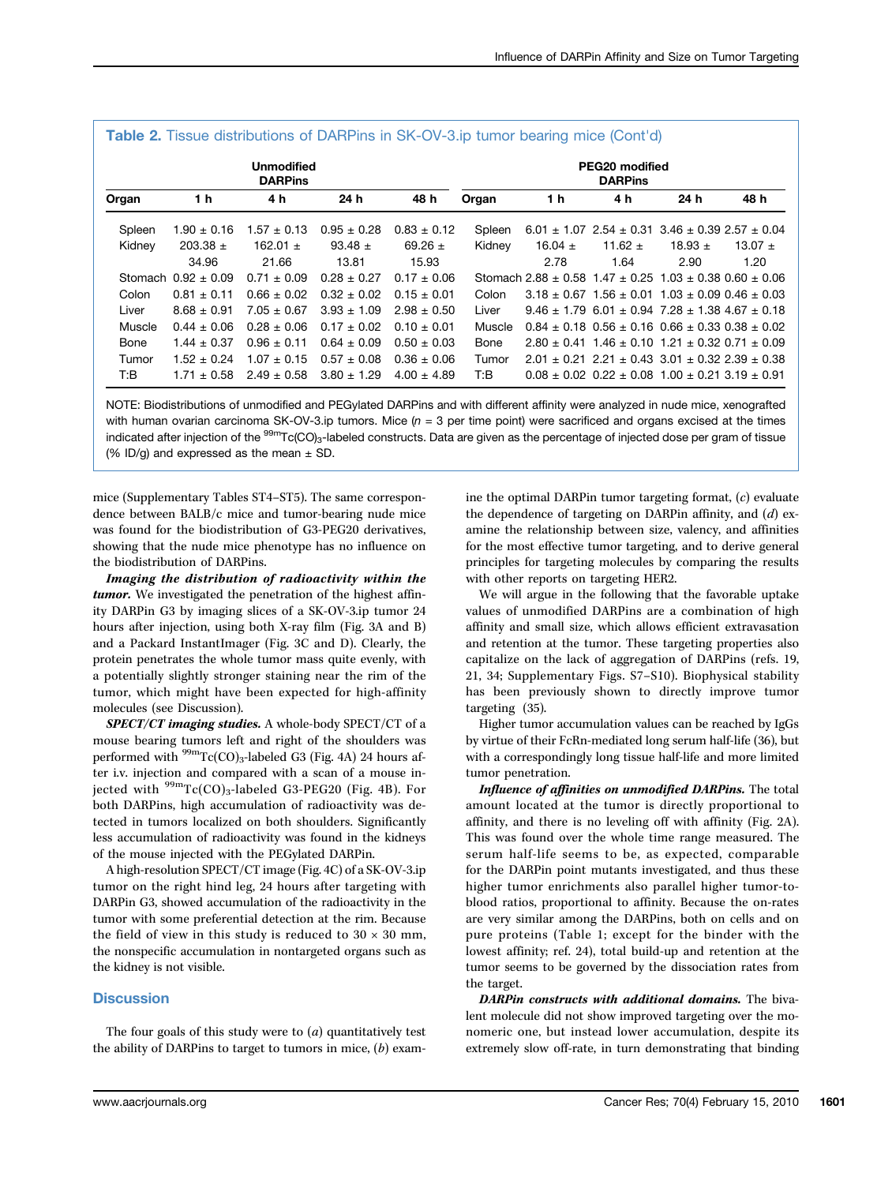| Unmodified<br><b>DARPins</b> |                         |                 |                 |                 | PEG20 modified<br><b>DARPins</b> |                                                                         |                                                                 |                 |             |  |
|------------------------------|-------------------------|-----------------|-----------------|-----------------|----------------------------------|-------------------------------------------------------------------------|-----------------------------------------------------------------|-----------------|-------------|--|
| Organ                        | 1 h                     | 4 h             | 24 <sub>h</sub> | 48 h            | Organ                            | 1 h                                                                     | 4 h                                                             | 24 <sub>h</sub> | 48 h        |  |
| Spleen                       | $1.90 \pm 0.16$         | $1.57 \pm 0.13$ | $0.95 \pm 0.28$ | $0.83 \pm 0.12$ | Spleen                           |                                                                         | $6.01 \pm 1.07$ 2.54 $\pm$ 0.31 3.46 $\pm$ 0.39 2.57 $\pm$ 0.04 |                 |             |  |
| Kidnev                       | $203.38 \pm$            | 162.01 $\pm$    | 93.48 $\pm$     | 69.26 $\pm$     | Kidnev                           | 16.04 $\pm$                                                             | 11.62 $\pm$                                                     | $18.93 \pm$     | 13.07 $\pm$ |  |
|                              | 34.96                   | 21.66           | 13.81           | 15.93           |                                  | 2.78                                                                    | 1.64                                                            | 2.90            | 1.20        |  |
|                              | Stomach $0.92 \pm 0.09$ | $0.71 \pm 0.09$ | $0.28 \pm 0.27$ | $0.17 \pm 0.06$ |                                  | Stomach $2.88 \pm 0.58$ 1.47 $\pm$ 0.25 1.03 $\pm$ 0.38 0.60 $\pm$ 0.06 |                                                                 |                 |             |  |
| Colon                        | $0.81 \pm 0.11$         | $0.66 \pm 0.02$ | $0.32 \pm 0.02$ | $0.15 \pm 0.01$ | Colon                            |                                                                         | $3.18 \pm 0.67$ 1.56 $\pm$ 0.01 1.03 $\pm$ 0.09 0.46 $\pm$ 0.03 |                 |             |  |
| Liver                        | $8.68 \pm 0.91$         | $7.05 \pm 0.67$ | $3.93 \pm 1.09$ | $2.98 \pm 0.50$ | Liver                            |                                                                         | $9.46 \pm 1.79$ 6.01 $\pm$ 0.94 7.28 $\pm$ 1.38 4.67 $\pm$ 0.18 |                 |             |  |
| Muscle                       | $0.44 \pm 0.06$         | $0.28 \pm 0.06$ | $0.17 \pm 0.02$ | $0.10 + 0.01$   | Muscle                           |                                                                         | $0.84 \pm 0.18$ $0.56 \pm 0.16$ $0.66 \pm 0.33$ $0.38 \pm 0.02$ |                 |             |  |
| Bone                         | $1.44 \pm 0.37$         | $0.96 \pm 0.11$ | $0.64 \pm 0.09$ | $0.50 \pm 0.03$ | Bone                             |                                                                         | $2.80 \pm 0.41$ 1.46 $\pm$ 0.10 1.21 $\pm$ 0.32 0.71 $\pm$ 0.09 |                 |             |  |
| Tumor                        | $1.52 \pm 0.24$         | $1.07 \pm 0.15$ | $0.57 \pm 0.08$ | $0.36 \pm 0.06$ | Tumor                            |                                                                         | $2.01 \pm 0.21$ $2.21 \pm 0.43$ $3.01 \pm 0.32$ $2.39 \pm 0.38$ |                 |             |  |
| T:B                          | $1.71 \pm 0.58$         | $2.49 \pm 0.58$ | $3.80 \pm 1.29$ | $4.00 + 4.89$   | T:B                              |                                                                         | $0.08 \pm 0.02$ $0.22 \pm 0.08$ $1.00 \pm 0.21$ $3.19 \pm 0.91$ |                 |             |  |

## Table 2. Tissue distributions of DARPins in SK-OV-3.ip tumor bearing mice (Cont'd)

NOTE: Biodistributions of unmodified and PEGylated DARPins and with different affinity were analyzed in nude mice, xenografted with human ovarian carcinoma SK-OV-3.ip tumors. Mice  $(n = 3$  per time point) were sacrificed and organs excised at the times indicated after injection of the <sup>99m</sup>Tc(CO)<sub>3</sub>-labeled constructs. Data are given as the percentage of injected dose per gram of tissue (% ID/g) and expressed as the mean  $\pm$  SD.

mice (Supplementary Tables ST4–ST5). The same correspondence between BALB/c mice and tumor-bearing nude mice was found for the biodistribution of G3-PEG20 derivatives, showing that the nude mice phenotype has no influence on the biodistribution of DARPins.

Imaging the distribution of radioactivity within the tumor. We investigated the penetration of the highest affinity DARPin G3 by imaging slices of a SK-OV-3.ip tumor 24 hours after injection, using both X-ray film (Fig. 3A and B) and a Packard InstantImager (Fig. 3C and D). Clearly, the protein penetrates the whole tumor mass quite evenly, with a potentially slightly stronger staining near the rim of the tumor, which might have been expected for high-affinity molecules (see Discussion).

SPECT/CT imaging studies. A whole-body SPECT/CT of a mouse bearing tumors left and right of the shoulders was performed with  $\frac{99m}{C}$ (CO)<sub>3</sub>-labeled G3 (Fig. 4A) 24 hours after i.v. injection and compared with a scan of a mouse injected with  $\rm{^{99m}Tc(CO)_3\text{-}label}$  G3-PEG20 (Fig. 4B). For both DARPins, high accumulation of radioactivity was detected in tumors localized on both shoulders. Significantly less accumulation of radioactivity was found in the kidneys of the mouse injected with the PEGylated DARPin.

A high-resolution SPECT/CT image (Fig. 4C) of a SK-OV-3.ip tumor on the right hind leg, 24 hours after targeting with DARPin G3, showed accumulation of the radioactivity in the tumor with some preferential detection at the rim. Because the field of view in this study is reduced to  $30 \times 30$  mm, the nonspecific accumulation in nontargeted organs such as the kidney is not visible.

## **Discussion**

The four goals of this study were to  $(a)$  quantitatively test the ability of DARPins to target to tumors in mice,  $(b)$  examine the optimal DARPin tumor targeting format, (c) evaluate the dependence of targeting on DARPin affinity, and  $(d)$  examine the relationship between size, valency, and affinities for the most effective tumor targeting, and to derive general principles for targeting molecules by comparing the results with other reports on targeting HER2.

We will argue in the following that the favorable uptake values of unmodified DARPins are a combination of high affinity and small size, which allows efficient extravasation and retention at the tumor. These targeting properties also capitalize on the lack of aggregation of DARPins (refs. 19, 21, 34; Supplementary Figs. S7–S10). Biophysical stability has been previously shown to directly improve tumor targeting (35).

Higher tumor accumulation values can be reached by IgGs by virtue of their FcRn-mediated long serum half-life (36), but with a correspondingly long tissue half-life and more limited tumor penetration.

Influence of affinities on unmodified DARPins. The total amount located at the tumor is directly proportional to affinity, and there is no leveling off with affinity (Fig. 2A). This was found over the whole time range measured. The serum half-life seems to be, as expected, comparable for the DARPin point mutants investigated, and thus these higher tumor enrichments also parallel higher tumor-toblood ratios, proportional to affinity. Because the on-rates are very similar among the DARPins, both on cells and on pure proteins (Table 1; except for the binder with the lowest affinity; ref. 24), total build-up and retention at the tumor seems to be governed by the dissociation rates from the target.

DARPin constructs with additional domains. The bivalent molecule did not show improved targeting over the monomeric one, but instead lower accumulation, despite its extremely slow off-rate, in turn demonstrating that binding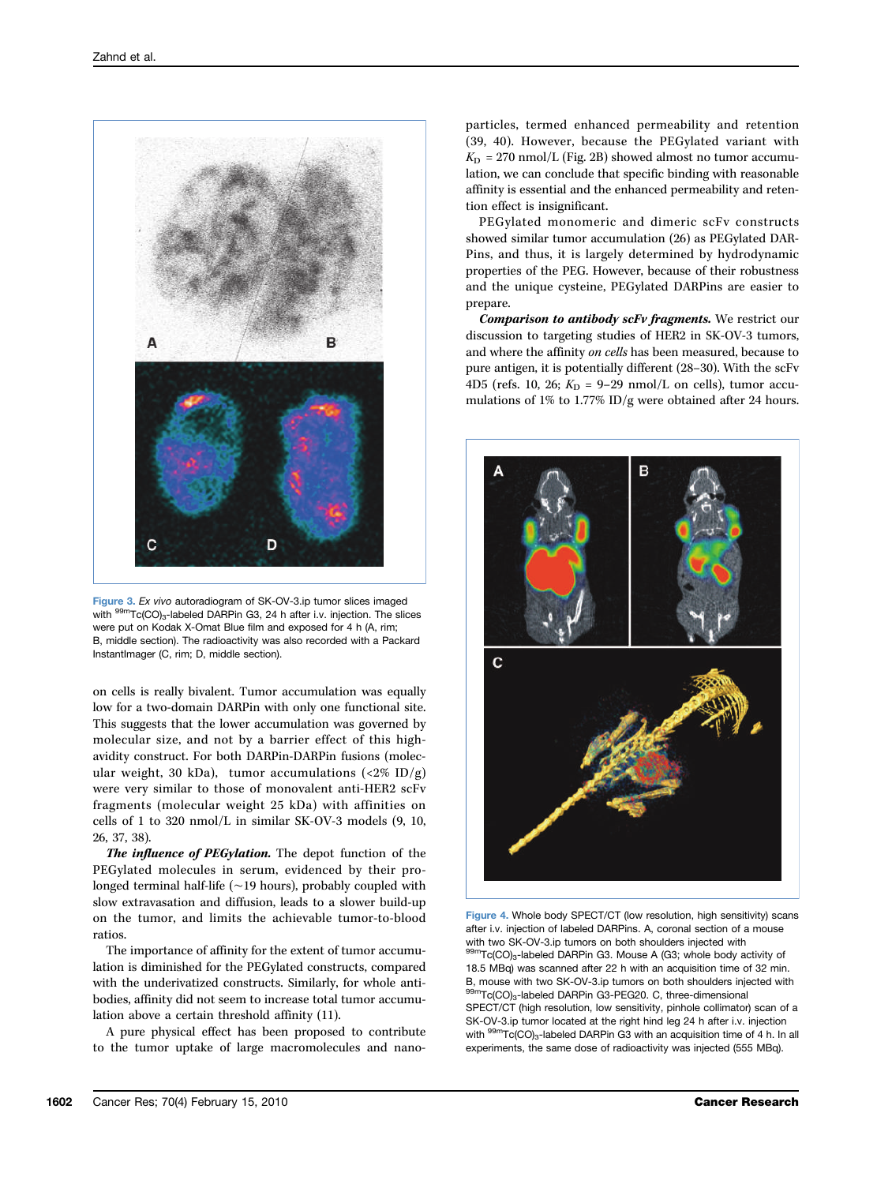

Figure 3. Ex vivo autoradiogram of SK-OV-3.ip tumor slices imaged with 99mTc(CO)<sub>3</sub>-labeled DARPin G3, 24 h after i.v. injection. The slices were put on Kodak X-Omat Blue film and exposed for 4 h (A, rim; B, middle section). The radioactivity was also recorded with a Packard InstantImager (C, rim; D, middle section).

on cells is really bivalent. Tumor accumulation was equally low for a two-domain DARPin with only one functional site. This suggests that the lower accumulation was governed by molecular size, and not by a barrier effect of this highavidity construct. For both DARPin-DARPin fusions (molecular weight, 30 kDa), tumor accumulations (<2% ID/g) were very similar to those of monovalent anti-HER2 scFv fragments (molecular weight 25 kDa) with affinities on cells of 1 to 320 nmol/L in similar SK-OV-3 models (9, 10, 26, 37, 38).

The influence of PEGylation. The depot function of the PEGylated molecules in serum, evidenced by their prolonged terminal half-life (∼19 hours), probably coupled with slow extravasation and diffusion, leads to a slower build-up on the tumor, and limits the achievable tumor-to-blood ratios.

The importance of affinity for the extent of tumor accumulation is diminished for the PEGylated constructs, compared with the underivatized constructs. Similarly, for whole antibodies, affinity did not seem to increase total tumor accumulation above a certain threshold affinity (11).

A pure physical effect has been proposed to contribute to the tumor uptake of large macromolecules and nano-

particles, termed enhanced permeability and retention (39, 40). However, because the PEGylated variant with  $K_D = 270$  nmol/L (Fig. 2B) showed almost no tumor accumulation, we can conclude that specific binding with reasonable affinity is essential and the enhanced permeability and retention effect is insignificant.

PEGylated monomeric and dimeric scFv constructs showed similar tumor accumulation (26) as PEGylated DAR-Pins, and thus, it is largely determined by hydrodynamic properties of the PEG. However, because of their robustness and the unique cysteine, PEGylated DARPins are easier to prepare.

Comparison to antibody scFv fragments. We restrict our discussion to targeting studies of HER2 in SK-OV-3 tumors, and where the affinity on cells has been measured, because to pure antigen, it is potentially different (28–30). With the scFv 4D5 (refs. 10, 26;  $K<sub>D</sub>$  = 9-29 nmol/L on cells), tumor accumulations of 1% to 1.77% ID/g were obtained after 24 hours.



Figure 4. Whole body SPECT/CT (low resolution, high sensitivity) scans after i.v. injection of labeled DARPins. A, coronal section of a mouse with two SK-OV-3.ip tumors on both shoulders injected with 99mTc(CO)<sub>3</sub>-labeled DARPin G3. Mouse A (G3; whole body activity of 18.5 MBq) was scanned after 22 h with an acquisition time of 32 min. B, mouse with two SK-OV-3.ip tumors on both shoulders injected with Tc(CO)<sub>3</sub>-labeled DARPin G3-PEG20. C, three-dimensional SPECT/CT (high resolution, low sensitivity, pinhole collimator) scan of a SK-OV-3.ip tumor located at the right hind leg 24 h after i.v. injection with  $99mTc(CO)<sub>3</sub>$ -labeled DARPin G3 with an acquisition time of 4 h. In all experiments, the same dose of radioactivity was injected (555 MBq).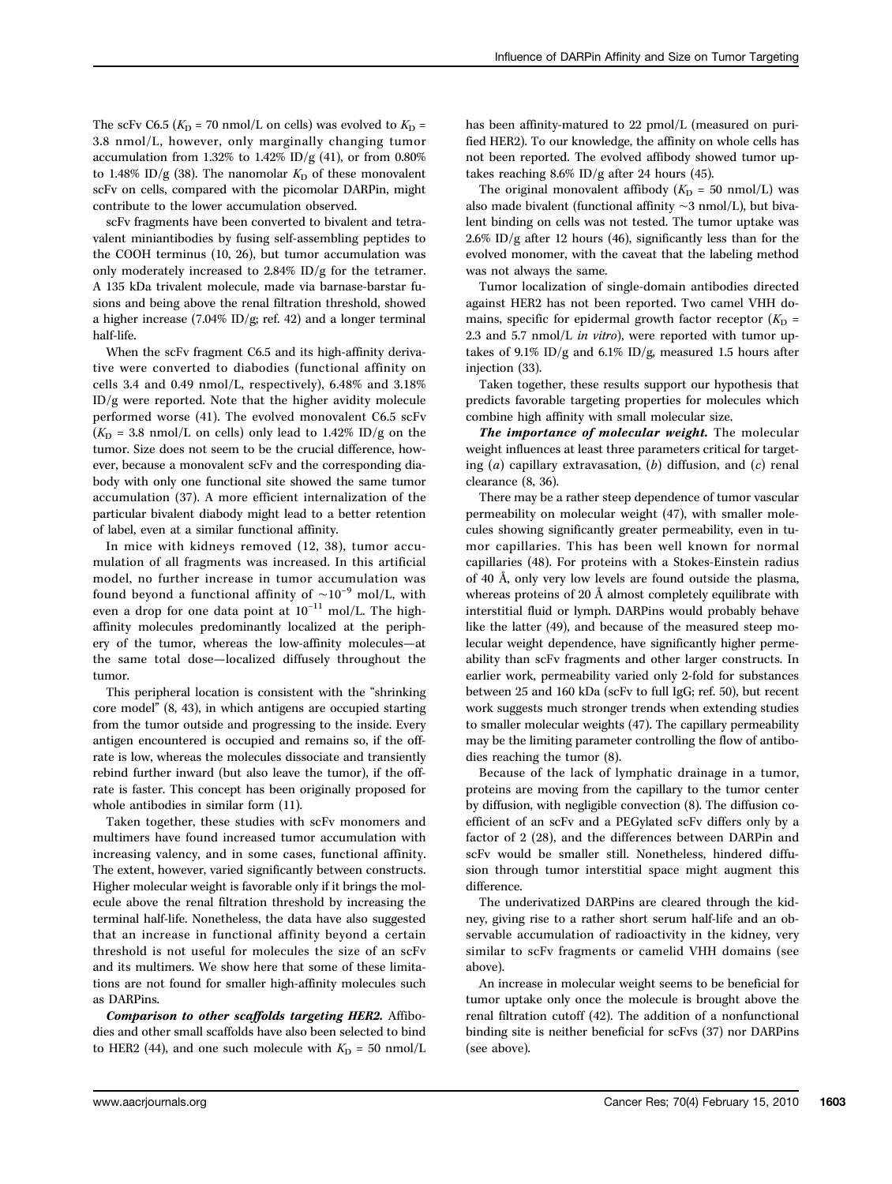The scFv C6.5 ( $K<sub>D</sub>$  = 70 nmol/L on cells) was evolved to  $K<sub>D</sub>$  = 3.8 nmol/L, however, only marginally changing tumor accumulation from  $1.32\%$  to  $1.42\%$  ID/g (41), or from 0.80% to 1.48% ID/g (38). The nanomolar  $K_D$  of these monovalent scFv on cells, compared with the picomolar DARPin, might contribute to the lower accumulation observed.

scFv fragments have been converted to bivalent and tetravalent miniantibodies by fusing self-assembling peptides to the COOH terminus (10, 26), but tumor accumulation was only moderately increased to 2.84% ID/g for the tetramer. A 135 kDa trivalent molecule, made via barnase-barstar fusions and being above the renal filtration threshold, showed a higher increase  $(7.04\% \text{ ID/g}; \text{ref. } 42)$  and a longer terminal half-life.

When the scFv fragment C6.5 and its high-affinity derivative were converted to diabodies (functional affinity on cells 3.4 and 0.49 nmol/L, respectively), 6.48% and 3.18% ID/g were reported. Note that the higher avidity molecule performed worse (41). The evolved monovalent C6.5 scFv  $(K_D = 3.8 \text{ nmol/L}$  on cells) only lead to 1.42% ID/g on the tumor. Size does not seem to be the crucial difference, however, because a monovalent scFv and the corresponding diabody with only one functional site showed the same tumor accumulation (37). A more efficient internalization of the particular bivalent diabody might lead to a better retention of label, even at a similar functional affinity.

In mice with kidneys removed (12, 38), tumor accumulation of all fragments was increased. In this artificial model, no further increase in tumor accumulation was found beyond a functional affinity of  $\sim 10^{-9}$  mol/L, with even a drop for one data point at  $10^{-11}$  mol/L. The highaffinity molecules predominantly localized at the periphery of the tumor, whereas the low-affinity molecules—at the same total dose—localized diffusely throughout the tumor.

This peripheral location is consistent with the "shrinking core model" (8, 43), in which antigens are occupied starting from the tumor outside and progressing to the inside. Every antigen encountered is occupied and remains so, if the offrate is low, whereas the molecules dissociate and transiently rebind further inward (but also leave the tumor), if the offrate is faster. This concept has been originally proposed for whole antibodies in similar form (11).

Taken together, these studies with scFv monomers and multimers have found increased tumor accumulation with increasing valency, and in some cases, functional affinity. The extent, however, varied significantly between constructs. Higher molecular weight is favorable only if it brings the molecule above the renal filtration threshold by increasing the terminal half-life. Nonetheless, the data have also suggested that an increase in functional affinity beyond a certain threshold is not useful for molecules the size of an scFv and its multimers. We show here that some of these limitations are not found for smaller high-affinity molecules such as DARPins.

Comparison to other scaffolds targeting HER2. Affibodies and other small scaffolds have also been selected to bind to HER2 (44), and one such molecule with  $K<sub>D</sub> = 50$  nmol/L has been affinity-matured to 22 pmol/L (measured on purified HER2). To our knowledge, the affinity on whole cells has not been reported. The evolved affibody showed tumor uptakes reaching 8.6% ID/g after 24 hours (45).

The original monovalent affibody ( $K<sub>D</sub> = 50$  nmol/L) was also made bivalent (functional affinity ∼3 nmol/L), but bivalent binding on cells was not tested. The tumor uptake was  $2.6\%$  ID/g after 12 hours (46), significantly less than for the evolved monomer, with the caveat that the labeling method was not always the same.

Tumor localization of single-domain antibodies directed against HER2 has not been reported. Two camel VHH domains, specific for epidermal growth factor receptor  $(K_D =$ 2.3 and 5.7 nmol/L in vitro), were reported with tumor uptakes of 9.1% ID/g and 6.1% ID/g, measured 1.5 hours after injection (33).

Taken together, these results support our hypothesis that predicts favorable targeting properties for molecules which combine high affinity with small molecular size.

The importance of molecular weight. The molecular weight influences at least three parameters critical for targeting  $(a)$  capillary extravasation,  $(b)$  diffusion, and  $(c)$  renal clearance (8, 36).

There may be a rather steep dependence of tumor vascular permeability on molecular weight (47), with smaller molecules showing significantly greater permeability, even in tumor capillaries. This has been well known for normal capillaries (48). For proteins with a Stokes-Einstein radius of 40 Å, only very low levels are found outside the plasma, whereas proteins of 20 Å almost completely equilibrate with interstitial fluid or lymph. DARPins would probably behave like the latter (49), and because of the measured steep molecular weight dependence, have significantly higher permeability than scFv fragments and other larger constructs. In earlier work, permeability varied only 2-fold for substances between 25 and 160 kDa (scFv to full IgG; ref. 50), but recent work suggests much stronger trends when extending studies to smaller molecular weights (47). The capillary permeability may be the limiting parameter controlling the flow of antibodies reaching the tumor (8).

Because of the lack of lymphatic drainage in a tumor, proteins are moving from the capillary to the tumor center by diffusion, with negligible convection (8). The diffusion coefficient of an scFv and a PEGylated scFv differs only by a factor of 2 (28), and the differences between DARPin and scFv would be smaller still. Nonetheless, hindered diffusion through tumor interstitial space might augment this difference.

The underivatized DARPins are cleared through the kidney, giving rise to a rather short serum half-life and an observable accumulation of radioactivity in the kidney, very similar to scFv fragments or camelid VHH domains (see above).

An increase in molecular weight seems to be beneficial for tumor uptake only once the molecule is brought above the renal filtration cutoff (42). The addition of a nonfunctional binding site is neither beneficial for scFvs (37) nor DARPins (see above).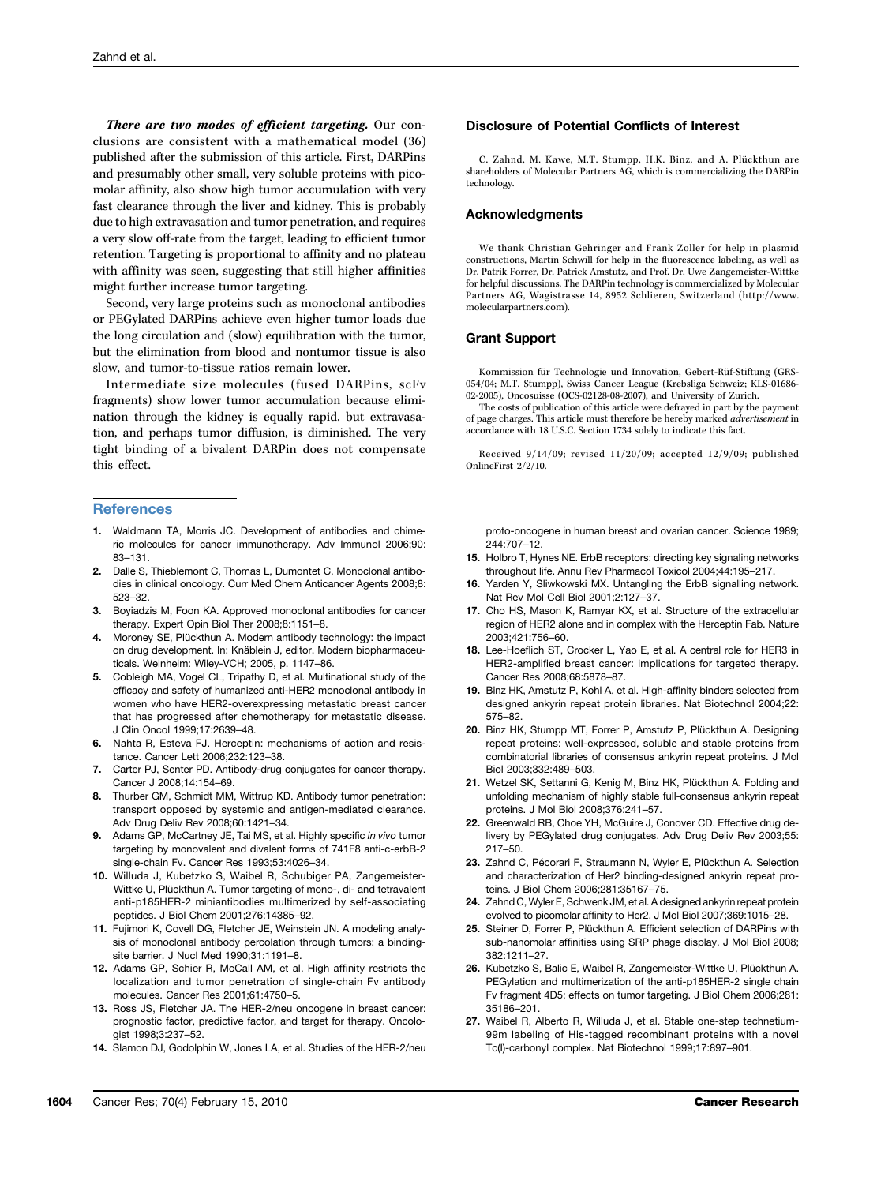There are two modes of efficient targeting. Our conclusions are consistent with a mathematical model (36) published after the submission of this article. First, DARPins and presumably other small, very soluble proteins with picomolar affinity, also show high tumor accumulation with very fast clearance through the liver and kidney. This is probably due to high extravasation and tumor penetration, and requires a very slow off-rate from the target, leading to efficient tumor retention. Targeting is proportional to affinity and no plateau with affinity was seen, suggesting that still higher affinities might further increase tumor targeting.

Second, very large proteins such as monoclonal antibodies or PEGylated DARPins achieve even higher tumor loads due the long circulation and (slow) equilibration with the tumor, but the elimination from blood and nontumor tissue is also slow, and tumor-to-tissue ratios remain lower.

Intermediate size molecules (fused DARPins, scFv fragments) show lower tumor accumulation because elimination through the kidney is equally rapid, but extravasation, and perhaps tumor diffusion, is diminished. The very tight binding of a bivalent DARPin does not compensate this effect.

## **References**

- 1. Waldmann TA, Morris JC. Development of antibodies and chimeric molecules for cancer immunotherapy. Adv Immunol 2006;90: 83–131.
- 2. Dalle S, Thieblemont C, Thomas L, Dumontet C. Monoclonal antibodies in clinical oncology. Curr Med Chem Anticancer Agents 2008;8: 523–32.
- 3. Boyiadzis M, Foon KA. Approved monoclonal antibodies for cancer therapy. Expert Opin Biol Ther 2008;8:1151–8.
- 4. Moroney SE, Plückthun A. Modern antibody technology: the impact on drug development. In: Knäblein J, editor. Modern biopharmaceuticals. Weinheim: Wiley-VCH; 2005, p. 1147–86.
- 5. Cobleigh MA, Vogel CL, Tripathy D, et al. Multinational study of the efficacy and safety of humanized anti-HER2 monoclonal antibody in women who have HER2-overexpressing metastatic breast cancer that has progressed after chemotherapy for metastatic disease. J Clin Oncol 1999;17:2639–48.
- 6. Nahta R, Esteva FJ. Herceptin: mechanisms of action and resistance. Cancer Lett 2006;232:123–38.
- 7. Carter PJ, Senter PD. Antibody-drug conjugates for cancer therapy. Cancer J 2008;14:154–69.
- Thurber GM, Schmidt MM, Wittrup KD. Antibody tumor penetration: transport opposed by systemic and antigen-mediated clearance. Adv Drug Deliv Rev 2008;60:1421–34.
- Adams GP, McCartney JE, Tai MS, et al. Highly specific in vivo tumor targeting by monovalent and divalent forms of 741F8 anti-c-erbB-2 single-chain Fv. Cancer Res 1993;53:4026–34.
- 10. Willuda J, Kubetzko S, Waibel R, Schubiger PA, Zangemeister-Wittke U, Plückthun A. Tumor targeting of mono-, di- and tetravalent anti-p185HER-2 miniantibodies multimerized by self-associating peptides. J Biol Chem 2001;276:14385–92.
- 11. Fujimori K, Covell DG, Fletcher JE, Weinstein JN. A modeling analysis of monoclonal antibody percolation through tumors: a bindingsite barrier. J Nucl Med 1990;31:1191–8.
- 12. Adams GP, Schier R, McCall AM, et al. High affinity restricts the localization and tumor penetration of single-chain Fv antibody molecules. Cancer Res 2001;61:4750–5.
- 13. Ross JS, Fletcher JA. The HER-2/neu oncogene in breast cancer: prognostic factor, predictive factor, and target for therapy. Oncologist 1998;3:237–52.
- 14. Slamon DJ, Godolphin W, Jones LA, et al. Studies of the HER-2/neu

## Disclosure of Potential Conflicts of Interest

C. Zahnd, M. Kawe, M.T. Stumpp, H.K. Binz, and A. Plückthun are shareholders of Molecular Partners AG, which is commercializing the DARPin technology.

## Acknowledgments

We thank Christian Gehringer and Frank Zoller for help in plasmid constructions, Martin Schwill for help in the fluorescence labeling, as well as Dr. Patrik Forrer, Dr. Patrick Amstutz, and Prof. Dr. Uwe Zangemeister-Wittke for helpful discussions. The DARPin technology is commercialized by Molecular Partners AG, Wagistrasse 14, 8952 Schlieren, Switzerland (http://www. molecularpartners.com).

## Grant Support

Kommission für Technologie und Innovation, Gebert-Rüf-Stiftung (GRS-054/04; M.T. Stumpp), Swiss Cancer League (Krebsliga Schweiz; KLS-01686- 02-2005), Oncosuisse (OCS-02128-08-2007), and University of Zurich.

The costs of publication of this article were defrayed in part by the payment of page charges. This article must therefore be hereby marked advertisement in accordance with 18 U.S.C. Section 1734 solely to indicate this fact.

Received 9/14/09; revised 11/20/09; accepted 12/9/09; published OnlineFirst 2/2/10.

proto-oncogene in human breast and ovarian cancer. Science 1989; 244:707–12.

- 15. Holbro T, Hynes NE. ErbB receptors: directing key signaling networks throughout life. Annu Rev Pharmacol Toxicol 2004;44:195–217.
- 16. Yarden Y, Sliwkowski MX. Untangling the ErbB signalling network. Nat Rev Mol Cell Biol 2001;2:127–37.
- 17. Cho HS, Mason K, Ramyar KX, et al. Structure of the extracellular region of HER2 alone and in complex with the Herceptin Fab. Nature 2003;421:756–60.
- 18. Lee-Hoeflich ST, Crocker L, Yao E, et al. A central role for HER3 in HER2-amplified breast cancer: implications for targeted therapy. Cancer Res 2008;68:5878–87.
- 19. Binz HK, Amstutz P, Kohl A, et al. High-affinity binders selected from designed ankyrin repeat protein libraries. Nat Biotechnol 2004;22: 575–82.
- 20. Binz HK, Stumpp MT, Forrer P, Amstutz P, Plückthun A. Designing repeat proteins: well-expressed, soluble and stable proteins from combinatorial libraries of consensus ankyrin repeat proteins. J Mol Biol 2003;332:489–503.
- 21. Wetzel SK, Settanni G, Kenig M, Binz HK, Plückthun A. Folding and unfolding mechanism of highly stable full-consensus ankyrin repeat proteins. J Mol Biol 2008;376:241–57.
- 22. Greenwald RB, Choe YH, McGuire J, Conover CD. Effective drug delivery by PEGylated drug conjugates. Adv Drug Deliv Rev 2003;55: 217–50.
- 23. Zahnd C, Pécorari F, Straumann N, Wyler E, Plückthun A. Selection and characterization of Her2 binding-designed ankyrin repeat proteins. J Biol Chem 2006;281:35167–75.
- 24. Zahnd C, Wyler E, Schwenk JM, et al. A designed ankyrin repeat protein evolved to picomolar affinity to Her2. J Mol Biol 2007;369:1015–28.
- 25. Steiner D, Forrer P, Plückthun A. Efficient selection of DARPins with sub-nanomolar affinities using SRP phage display. J Mol Biol 2008; 382:1211–27.
- 26. Kubetzko S, Balic E, Waibel R, Zangemeister-Wittke U, Plückthun A. PEGylation and multimerization of the anti-p185HER-2 single chain Fv fragment 4D5: effects on tumor targeting. J Biol Chem 2006;281: 35186–201.
- 27. Waibel R, Alberto R, Willuda J, et al. Stable one-step technetium-99m labeling of His-tagged recombinant proteins with a novel Tc(I)-carbonyl complex. Nat Biotechnol 1999;17:897–901.